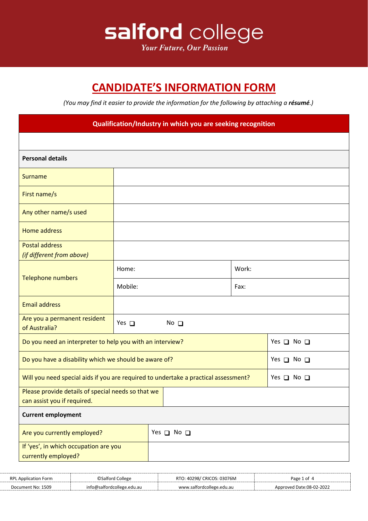

## **CANDIDATE'S INFORMATION FORM**

*(You may find it easier to provide the information for the following by attaching a résumé.)*

| Qualification/Industry in which you are seeking recognition                                                 |                      |  |                |  |  |                      |
|-------------------------------------------------------------------------------------------------------------|----------------------|--|----------------|--|--|----------------------|
|                                                                                                             |                      |  |                |  |  |                      |
| <b>Personal details</b>                                                                                     |                      |  |                |  |  |                      |
| Surname                                                                                                     |                      |  |                |  |  |                      |
| First name/s                                                                                                |                      |  |                |  |  |                      |
| Any other name/s used                                                                                       |                      |  |                |  |  |                      |
| Home address                                                                                                |                      |  |                |  |  |                      |
| <b>Postal address</b><br>(if different from above)                                                          |                      |  |                |  |  |                      |
| <b>Telephone numbers</b>                                                                                    | Home:                |  | Work:          |  |  |                      |
|                                                                                                             | Mobile:              |  | Fax:           |  |  |                      |
| <b>Email address</b>                                                                                        |                      |  |                |  |  |                      |
| Are you a permanent resident<br>of Australia?                                                               | Yes $\square$        |  | $No$ $\square$ |  |  |                      |
| Do you need an interpreter to help you with an interview?                                                   |                      |  |                |  |  | Yes $\Box$ No $\Box$ |
| Do you have a disability which we should be aware of?                                                       |                      |  |                |  |  | Yes $\Box$ No $\Box$ |
| Will you need special aids if you are required to undertake a practical assessment?<br>Yes $\Box$ No $\Box$ |                      |  |                |  |  |                      |
| Please provide details of special needs so that we<br>can assist you if required.                           |                      |  |                |  |  |                      |
| <b>Current employment</b>                                                                                   |                      |  |                |  |  |                      |
| Are you currently employed?                                                                                 | Yes $\Box$ No $\Box$ |  |                |  |  |                      |
| If 'yes', in which occupation are you<br>currently employed?                                                |                      |  |                |  |  |                      |

| <b>RPI</b><br>orm<br>$\Delta$ ni | college             | 76M<br>`RIC<br>סמר | Page ?<br>ึก1                     |
|----------------------------------|---------------------|--------------------|-----------------------------------|
| .1509<br>Jocument No:            | 'salfor<br>edu.au - | edu.au             | J Date:08-02-2022<br>oved<br>Apr. |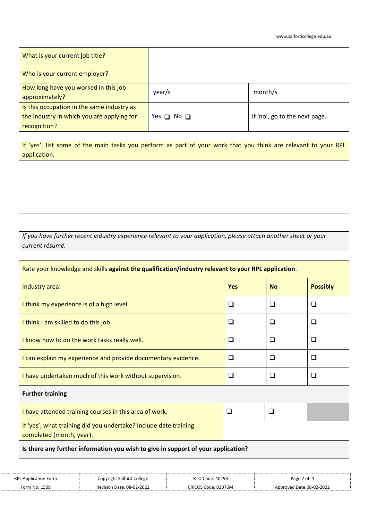| What is your current job title?                                                                          |                      |                               |
|----------------------------------------------------------------------------------------------------------|----------------------|-------------------------------|
| Who is your current employer?                                                                            |                      |                               |
| How long have you worked in this job<br>approximately?                                                   | year/s               | month/s                       |
| Is this occupation in the same industry as<br>the industry in which you are applying for<br>recognition? | Yes $\Box$ No $\Box$ | If 'no', go to the next page. |

If 'yes', list some of the main tasks you perform as part of your work that you think are relevant to your RPL application.

| If you have further recent industry experience relevant to your application, please attach another sheet or your |  |
|------------------------------------------------------------------------------------------------------------------|--|
| current résumé.                                                                                                  |  |

| Rate your knowledge and skills against the qualification/industry relevant to your RPL application. |            |           |                 |  |
|-----------------------------------------------------------------------------------------------------|------------|-----------|-----------------|--|
| Industry area:                                                                                      | <b>Yes</b> | <b>No</b> | <b>Possibly</b> |  |
| I think my experience is of a high level.                                                           | ⊔          | ❏         | □               |  |
| I think I am skilled to do this job.                                                                | ❏          | □         | ப               |  |
| I know how to do the work tasks really well.                                                        | □          | ❏         | □               |  |
| I can explain my experience and provide documentary evidence.                                       | □          | ◻         | ❏               |  |
| I have undertaken much of this work without supervision.                                            | $\Box$     | ❏         | $\Box$          |  |
| <b>Further training</b>                                                                             |            |           |                 |  |
| I have attended training courses in this area of work.                                              | ❏          | □         |                 |  |
| If 'yes', what training did you undertake? Include date training<br>completed (month, year).        |            |           |                 |  |
| Is there any further information you wish to give in support of your application?                   |            |           |                 |  |

| <b>RPI</b>    | College<br>saltc                 | 40298<br>DТ<br>`oqe:         | Page <sup>-</sup><br>∶ ot |
|---------------|----------------------------------|------------------------------|---------------------------|
| Form No: 1509 | <b>Revision Date: 08-02-2022</b> | 3076M<br>CRIC<br>∍∩י<br>`odo | Date:08-02-2022<br>nved   |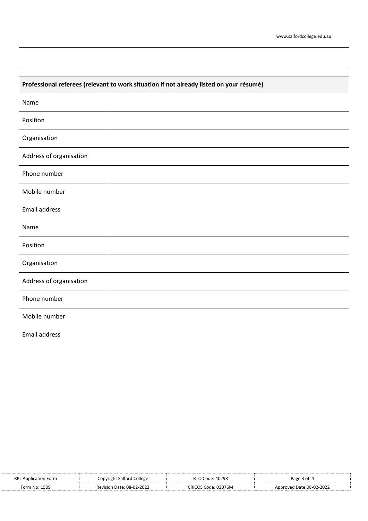| Professional referees (relevant to work situation if not already listed on your résumé) |  |  |  |  |
|-----------------------------------------------------------------------------------------|--|--|--|--|
| Name                                                                                    |  |  |  |  |
| Position                                                                                |  |  |  |  |
| Organisation                                                                            |  |  |  |  |
| Address of organisation                                                                 |  |  |  |  |
| Phone number                                                                            |  |  |  |  |
| Mobile number                                                                           |  |  |  |  |
| Email address                                                                           |  |  |  |  |
| Name                                                                                    |  |  |  |  |
| Position                                                                                |  |  |  |  |
| Organisation                                                                            |  |  |  |  |
| Address of organisation                                                                 |  |  |  |  |
| Phone number                                                                            |  |  |  |  |
| Mobile number                                                                           |  |  |  |  |
| Email address                                                                           |  |  |  |  |

| RPL<br>. Application Form | ' College<br>Copvright Salford | RTO Code: 40298     | Раса З                   |
|---------------------------|--------------------------------|---------------------|--------------------------|
| Form No: 1509             | Revision Date: 08-02-2022      | CRICOS Code: 03076M | Approved Date:08-02-2022 |
|                           |                                |                     |                          |